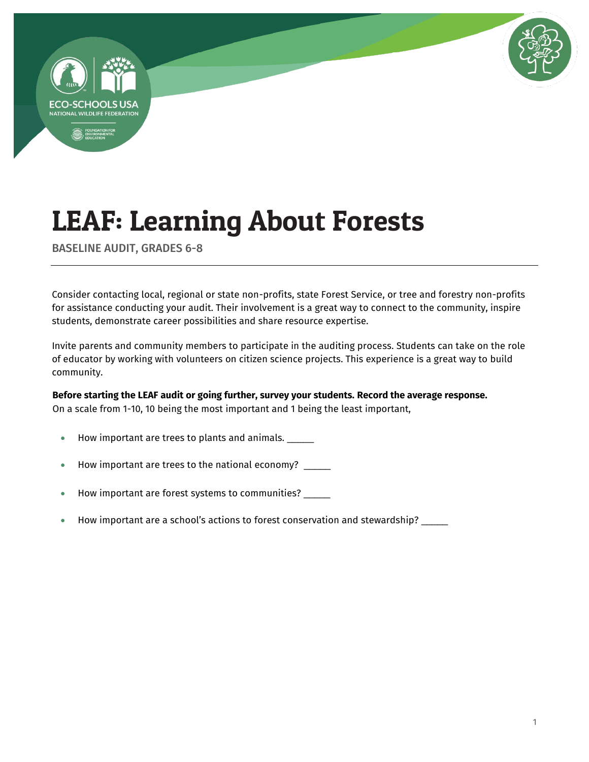



BASELINE AUDIT, GRADES 6-8

Consider contacting local, regional or state non-profits, state Forest Service, or tree and forestry non-profits for assistance conducting your audit. Their involvement is a great way to connect to the community, inspire students, demonstrate career possibilities and share resource expertise.

Invite parents and community members to participate in the auditing process. Students can take on the role of educator by working with volunteers on citizen science projects. This experience is a great way to build community.

### **Before starting the LEAF audit or going further, survey your students. Record the average response.** On a scale from 1-10, 10 being the most important and 1 being the least important,

- How important are trees to plants and animals.
- How important are trees to the national economy? \_\_\_\_\_
- How important are forest systems to communities? \_\_\_\_\_
- How important are a school's actions to forest conservation and stewardship? \_\_\_\_\_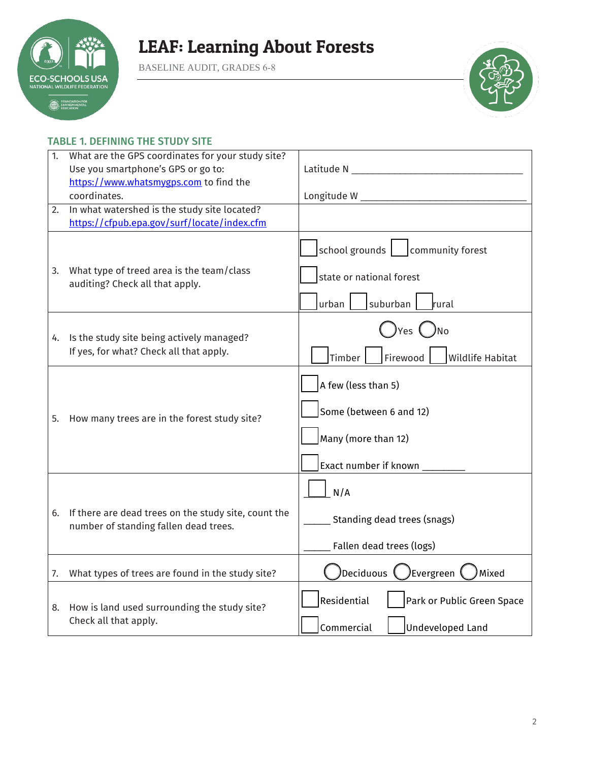

BASELINE AUDIT, GRADES 6-8



### TABLE 1. DEFINING THE STUDY SITE

| 1. | What are the GPS coordinates for your study site?<br>Use you smartphone's GPS or go to:<br>https://www.whatsmygps.com to find the |                                                                                                |
|----|-----------------------------------------------------------------------------------------------------------------------------------|------------------------------------------------------------------------------------------------|
| 2. | coordinates.<br>In what watershed is the study site located?<br>https://cfpub.epa.gov/surf/locate/index.cfm                       |                                                                                                |
| 3. | What type of treed area is the team/class<br>auditing? Check all that apply.                                                      | school grounds   community forest<br>state or national forest<br>suburban<br>urban<br>rural    |
| 4. | Is the study site being actively managed?<br>If yes, for what? Check all that apply.                                              | yes ( )No<br>Firewood<br><b>Wildlife Habitat</b><br>Timber                                     |
| 5. | How many trees are in the forest study site?                                                                                      | A few (less than 5)<br>Some (between 6 and 12)<br>Many (more than 12)<br>Exact number if known |
| 6. | If there are dead trees on the study site, count the<br>number of standing fallen dead trees.                                     | N/A<br><b>Standing dead trees (snags)</b><br>Fallen dead trees (logs)                          |
| 7. | What types of trees are found in the study site?                                                                                  | Deciduous (JEvergreen (<br>Mixed                                                               |
|    | 8. How is land used surrounding the study site?<br>Check all that apply.                                                          | Residential<br>Park or Public Green Space<br>Commercial<br><b>Undeveloped Land</b>             |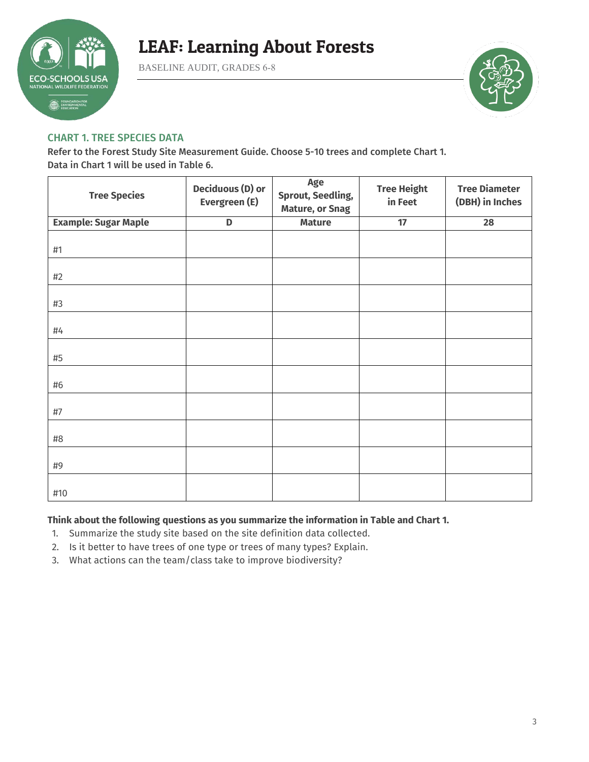

BASELINE AUDIT, GRADES 6-8



#### CHART 1. TREE SPECIES DATA

Refer to the Forest Study Site Measurement Guide. Choose 5-10 trees and complete Chart 1. Data in Chart 1 will be used in Table 6.

| <b>Tree Species</b>         | <b>Deciduous (D) or</b><br>Evergreen (E) | Age<br><b>Sprout, Seedling,</b><br><b>Mature, or Snag</b> | <b>Tree Height</b><br>in Feet | <b>Tree Diameter</b><br>(DBH) in Inches |
|-----------------------------|------------------------------------------|-----------------------------------------------------------|-------------------------------|-----------------------------------------|
| <b>Example: Sugar Maple</b> | D                                        | <b>Mature</b>                                             | 17                            | 28                                      |
| #1                          |                                          |                                                           |                               |                                         |
| #2                          |                                          |                                                           |                               |                                         |
| #3                          |                                          |                                                           |                               |                                         |
| #4                          |                                          |                                                           |                               |                                         |
| #5                          |                                          |                                                           |                               |                                         |
| #6                          |                                          |                                                           |                               |                                         |
| #7                          |                                          |                                                           |                               |                                         |
| #8                          |                                          |                                                           |                               |                                         |
| #9                          |                                          |                                                           |                               |                                         |
| #10                         |                                          |                                                           |                               |                                         |

#### **Think about the following questions as you summarize the information in Table and Chart 1.**

- 1. Summarize the study site based on the site definition data collected.
- 2. Is it better to have trees of one type or trees of many types? Explain.
- 3. What actions can the team/class take to improve biodiversity?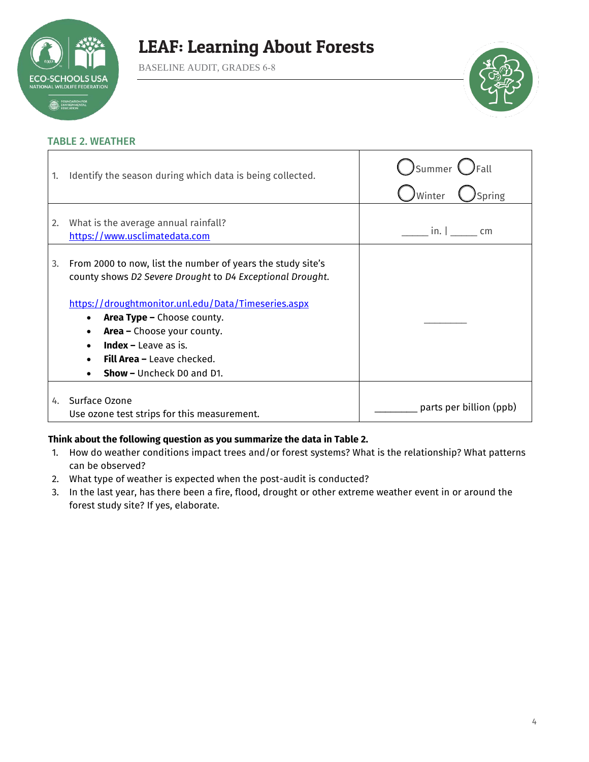

BASELINE AUDIT, GRADES 6-8



#### TABLE 2. WEATHER

| 1. | Identify the season during which data is being collected.                                                                                                                                                                                                                                          | )Summer<br>Spring<br>Winter |
|----|----------------------------------------------------------------------------------------------------------------------------------------------------------------------------------------------------------------------------------------------------------------------------------------------------|-----------------------------|
| 2. | What is the average annual rainfall?<br>https://www.usclimatedata.com                                                                                                                                                                                                                              | in.<br>cm                   |
| 3. | From 2000 to now, list the number of years the study site's<br>county shows D2 Severe Drought to D4 Exceptional Drought.<br>https://droughtmonitor.unl.edu/Data/Timeseries.aspx<br><b>Area Type - Choose county.</b><br>٠<br><b>Area -</b> Choose your county.<br>٠<br><b>Index</b> – Leave as is. |                             |
|    | <b>Fill Area -</b> Leave checked.<br><b>Show - Uncheck DO and D1.</b>                                                                                                                                                                                                                              |                             |
| 4. | Surface Ozone<br>Use ozone test strips for this measurement.                                                                                                                                                                                                                                       | parts per billion (ppb)     |

#### **Think about the following question as you summarize the data in Table 2.**

- 1. How do weather conditions impact trees and/or forest systems? What is the relationship? What patterns can be observed?
- 2. What type of weather is expected when the post-audit is conducted?
- 3. In the last year, has there been a fire, flood, drought or other extreme weather event in or around the forest study site? If yes, elaborate.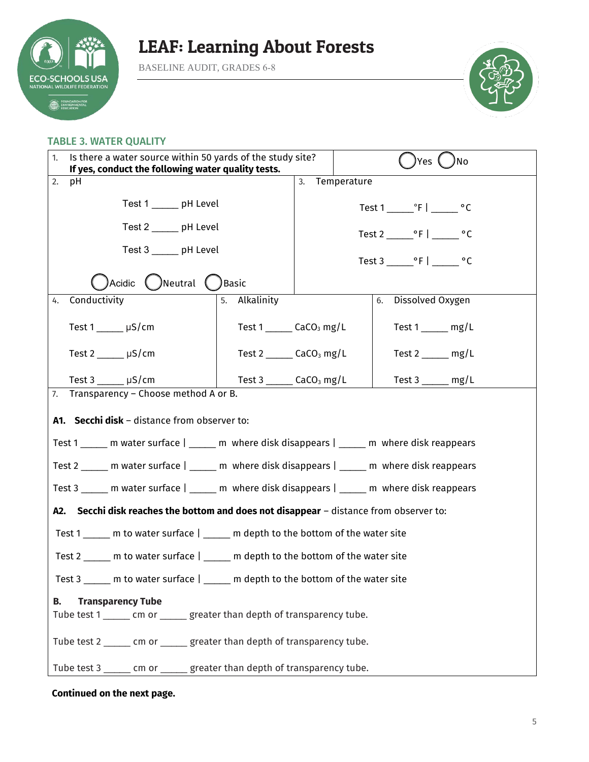

BASELINE AUDIT, GRADES 6-8



#### TABLE 3. WATER QUALITY

| Is there a water source within 50 yards of the study site?<br>1.<br>If yes, conduct the following water quality tests. |                                                                                                | <b>Yes</b><br>,<br>No                         |                   |                             |  |  |
|------------------------------------------------------------------------------------------------------------------------|------------------------------------------------------------------------------------------------|-----------------------------------------------|-------------------|-----------------------------|--|--|
| 2.                                                                                                                     | рH                                                                                             |                                               | Temperature<br>3. |                             |  |  |
|                                                                                                                        | Test 1 ______ pH Level                                                                         |                                               |                   |                             |  |  |
|                                                                                                                        | Test 2 ______ pH Level                                                                         |                                               |                   |                             |  |  |
|                                                                                                                        | Test 3 _____ pH Level                                                                          |                                               | Test 3 ºF   ºC    |                             |  |  |
|                                                                                                                        | )Acidic $\bigcirc$ Neutral $\bigcirc$                                                          | ) Basic                                       |                   |                             |  |  |
| 4.                                                                                                                     | Conductivity                                                                                   | 5. Alkalinity                                 |                   | Dissolved Oxygen<br>6.      |  |  |
|                                                                                                                        | Test $1 \_\_\_\$ µS/cm                                                                         | Test $1$ _______ CaCO <sub>3</sub> mg/L       |                   | Test $1 \_\_\_\_\$ mg/L     |  |  |
|                                                                                                                        | Test $2 \underline{\hspace{1cm}} \mu S/cm$                                                     | Test 2 $\qquad \qquad$ CaCO <sub>3</sub> mg/L |                   | Test $2 \_\_\_$ mg/L        |  |  |
|                                                                                                                        | Test $3 \_\_\_\_\$ µS/cm                                                                       | Test 3 _______ CaCO <sub>3</sub> mg/L         |                   | Test $3 \_\_\_\_\_\_\$ mg/L |  |  |
|                                                                                                                        | 7. Transparency - Choose method A or B.                                                        |                                               |                   |                             |  |  |
|                                                                                                                        | A1. Secchi disk - distance from observer to:                                                   |                                               |                   |                             |  |  |
|                                                                                                                        | Test 1 ______ m water surface   ______ m where disk disappears   ______ m where disk reappears |                                               |                   |                             |  |  |
|                                                                                                                        | Test 2 _____ m water surface   _____ m where disk disappears   _____ m where disk reappears    |                                               |                   |                             |  |  |
|                                                                                                                        | Test 3 ______ m water surface   ______ m where disk disappears   ______ m where disk reappears |                                               |                   |                             |  |  |
|                                                                                                                        | A2. Secchi disk reaches the bottom and does not disappear - distance from observer to:         |                                               |                   |                             |  |  |
|                                                                                                                        | Test 1 ______ m to water surface   _____ m depth to the bottom of the water site               |                                               |                   |                             |  |  |
|                                                                                                                        | Test 2 _____ m to water surface   _____ m depth to the bottom of the water site                |                                               |                   |                             |  |  |
|                                                                                                                        | Test 3 _____ m to water surface   _____ m depth to the bottom of the water site                |                                               |                   |                             |  |  |
| В.                                                                                                                     | <b>Transparency Tube</b>                                                                       |                                               |                   |                             |  |  |
|                                                                                                                        | Tube test 1 ______ cm or ______ greater than depth of transparency tube.                       |                                               |                   |                             |  |  |
|                                                                                                                        | Tube test 2 _____ cm or _____ greater than depth of transparency tube.                         |                                               |                   |                             |  |  |
|                                                                                                                        | Tube test 3 ______ cm or _____ greater than depth of transparency tube.                        |                                               |                   |                             |  |  |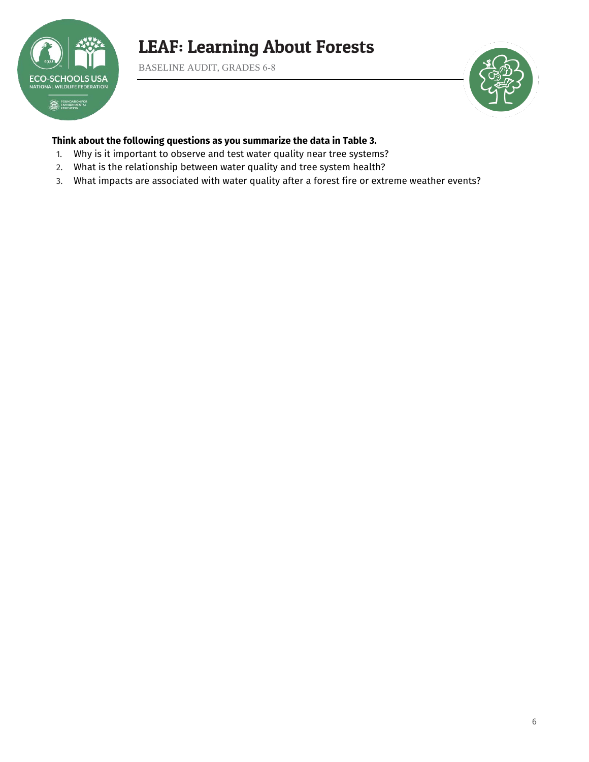

BASELINE AUDIT, GRADES 6-8



### **Think about the following questions as you summarize the data in Table 3.**

- 1. Why is it important to observe and test water quality near tree systems?
- 2. What is the relationship between water quality and tree system health?
- 3. What impacts are associated with water quality after a forest fire or extreme weather events?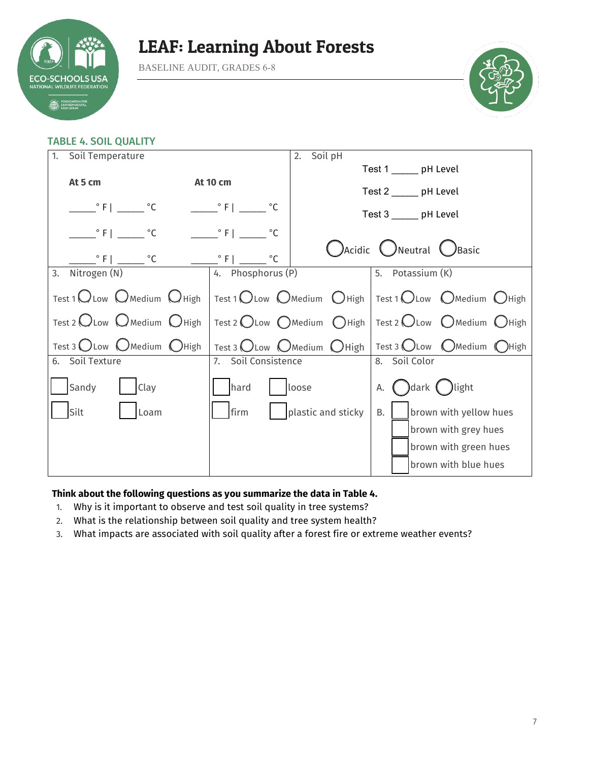

BASELINE AUDIT, GRADES 6-8



### TABLE 4. SOIL QUALITY

| 1.<br>Soil Temperature                                    |                               | Soil pH<br>2.          |                                                       |  |
|-----------------------------------------------------------|-------------------------------|------------------------|-------------------------------------------------------|--|
|                                                           |                               | Test 1 ______ pH Level |                                                       |  |
| At 5 cm                                                   | <b>At 10 cm</b>               |                        |                                                       |  |
|                                                           |                               |                        | Test 2 ______ pH Level                                |  |
| $\frac{\circ}{\cdot}$ F   $\frac{\circ}{\cdot}$ $\circ$ C | $\circ$ F   $\circ$ C         |                        | Test 3 _____ pH Level                                 |  |
| $\degree$ F   $\degree$ C                                 | $\circ$ F  <br>$^{\circ}$ C   |                        |                                                       |  |
| $\degree$ F $\degree$ $\degree$ C $\degree$               | $\circ$ F   _<br>$^{\circ}$ C |                        | C) Acidic C) Neutral C) Basic                         |  |
| Nitrogen (N)<br>3.                                        | 4. Phosphorus (P)             |                        | 5. Potassium (K)                                      |  |
| Test 1 $\bigcirc$ Low $\bigcirc$ Medium $\bigcirc$ High   |                               |                        | Test 1 OLow OMedium OHigh   Test 1 OLow OMedium OHigh |  |
| Test 2 $\bigcirc$ Low $\bigcirc$ Medium $\bigcirc$ High   |                               |                        | Test 2 OLow OMedium OHigh   Test 2 OLow OMedium OHigh |  |
| Test 3 OLow OMedium OHigh                                 |                               |                        | Test 3 OLow OMedium OHigh   Test 3 OLow OMedium OHigh |  |
| 6. Soil Texture                                           | 7. Soil Consistence           | 8. Soil Color          |                                                       |  |
| Sandy<br>Clay                                             | hard                          | loose                  | A. ( )dark ( ) light                                  |  |
| Silt<br>Loam                                              | firm                          | plastic and sticky     | brown with yellow hues<br><b>B.</b>                   |  |
|                                                           |                               |                        | brown with grey hues                                  |  |
|                                                           |                               |                        | brown with green hues                                 |  |
|                                                           |                               |                        | brown with blue hues                                  |  |

#### **Think about the following questions as you summarize the data in Table 4.**

- 1. Why is it important to observe and test soil quality in tree systems?
- 2. What is the relationship between soil quality and tree system health?
- 3. What impacts are associated with soil quality after a forest fire or extreme weather events?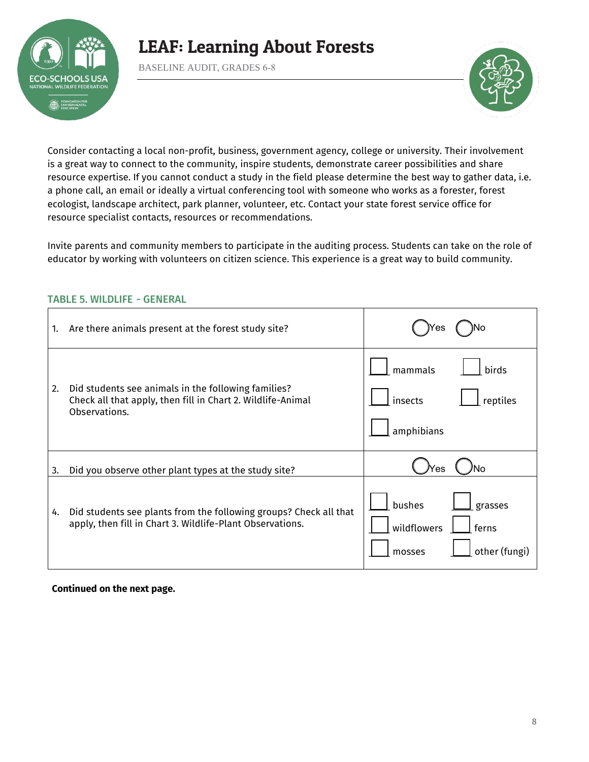

BASELINE AUDIT, GRADES 6-8



Consider contacting a local non-profit, business, government agency, college or university. Their involvement is a great way to connect to the community, inspire students, demonstrate career possibilities and share resource expertise. If you cannot conduct a study in the field please determine the best way to gather data, i.e. a phone call, an email or ideally a virtual conferencing tool with someone who works as a forester, forest ecologist, landscape architect, park planner, volunteer, etc. Contact your state forest service office for resource specialist contacts, resources or recommendations.

Invite parents and community members to participate in the auditing process. Students can take on the role of educator by working with volunteers on citizen science. This experience is a great way to build community.

| 1. | Are there animals present at the forest study site?                                                                                 |                                                                      |
|----|-------------------------------------------------------------------------------------------------------------------------------------|----------------------------------------------------------------------|
| 2. | Did students see animals in the following families?<br>Check all that apply, then fill in Chart 2. Wildlife-Animal<br>Observations. | mammals<br>birds<br>insects<br>reptiles<br>amphibians                |
| 3. | Did you observe other plant types at the study site?                                                                                | 'es                                                                  |
| 4. | Did students see plants from the following groups? Check all that<br>apply, then fill in Chart 3. Wildlife-Plant Observations.      | bushes<br>grasses<br>wildflowers<br>ferns<br>other (fungi)<br>mosses |

### TABLE 5. WILDLIFE - GENERAL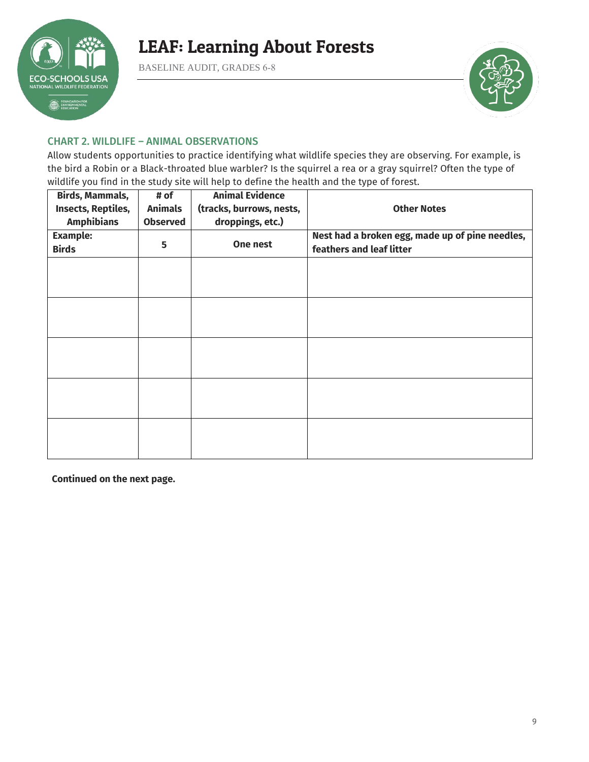

BASELINE AUDIT, GRADES 6-8



#### CHART 2. WILDLIFE – ANIMAL OBSERVATIONS

Allow students opportunities to practice identifying what wildlife species they are observing. For example, is the bird a Robin or a Black-throated blue warbler? Is the squirrel a rea or a gray squirrel? Often the type of wildlife you find in the study site will help to define the health and the type of forest.

| <b>Birds, Mammals,</b><br>Insects, Reptiles,<br><b>Amphibians</b> | # of<br><b>Animals</b><br><b>Observed</b> | <b>Animal Evidence</b><br>(tracks, burrows, nests,<br>droppings, etc.) | <b>Other Notes</b>                                                          |
|-------------------------------------------------------------------|-------------------------------------------|------------------------------------------------------------------------|-----------------------------------------------------------------------------|
| <b>Example:</b><br><b>Birds</b>                                   | 5                                         | One nest                                                               | Nest had a broken egg, made up of pine needles,<br>feathers and leaf litter |
|                                                                   |                                           |                                                                        |                                                                             |
|                                                                   |                                           |                                                                        |                                                                             |
|                                                                   |                                           |                                                                        |                                                                             |
|                                                                   |                                           |                                                                        |                                                                             |
|                                                                   |                                           |                                                                        |                                                                             |
|                                                                   |                                           |                                                                        |                                                                             |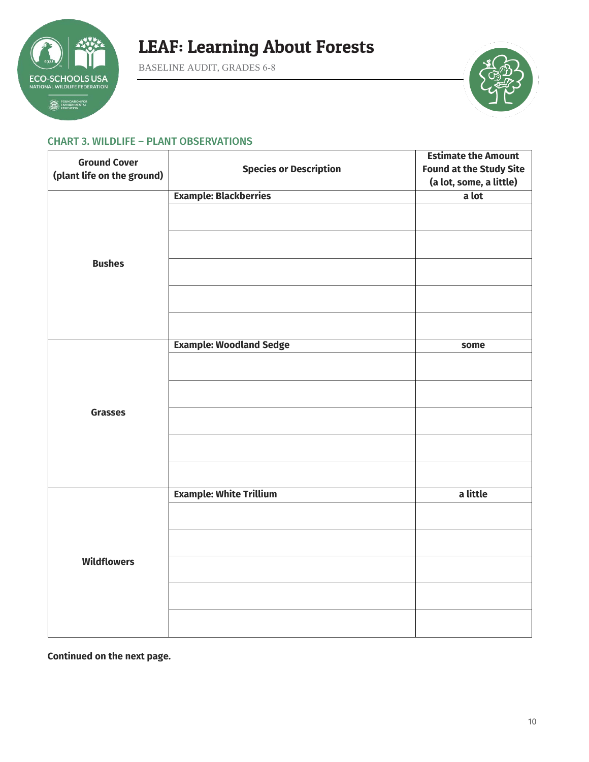

BASELINE AUDIT, GRADES 6-8



#### CHART 3. WILDLIFE – PLANT OBSERVATIONS

| <b>Ground Cover</b>        |                                | <b>Estimate the Amount</b>     |
|----------------------------|--------------------------------|--------------------------------|
| (plant life on the ground) | <b>Species or Description</b>  | <b>Found at the Study Site</b> |
|                            |                                | (a lot, some, a little)        |
|                            | <b>Example: Blackberries</b>   | a lot                          |
|                            |                                |                                |
|                            |                                |                                |
| <b>Bushes</b>              |                                |                                |
|                            |                                |                                |
|                            |                                |                                |
|                            | <b>Example: Woodland Sedge</b> | some                           |
|                            |                                |                                |
|                            |                                |                                |
| <b>Grasses</b>             |                                |                                |
|                            |                                |                                |
|                            |                                |                                |
|                            | <b>Example: White Trillium</b> | a little                       |
|                            |                                |                                |
|                            |                                |                                |
| <b>Wildflowers</b>         |                                |                                |
|                            |                                |                                |
|                            |                                |                                |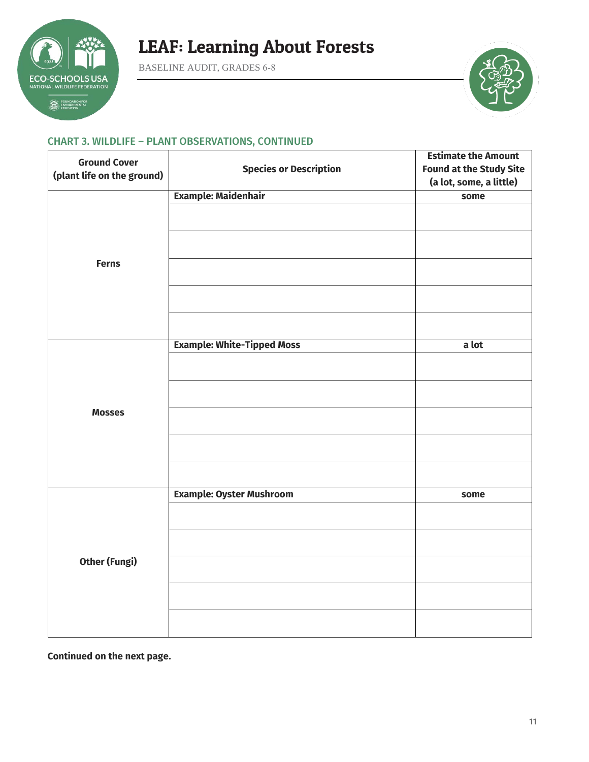

BASELINE AUDIT, GRADES 6-8



### CHART 3. WILDLIFE – PLANT OBSERVATIONS, CONTINUED

| <b>Ground Cover</b>        |                                   | <b>Estimate the Amount</b>     |
|----------------------------|-----------------------------------|--------------------------------|
| (plant life on the ground) | <b>Species or Description</b>     | <b>Found at the Study Site</b> |
|                            |                                   | (a lot, some, a little)        |
|                            | <b>Example: Maidenhair</b>        | some                           |
|                            |                                   |                                |
|                            |                                   |                                |
| <b>Ferns</b>               |                                   |                                |
|                            |                                   |                                |
|                            |                                   |                                |
|                            | <b>Example: White-Tipped Moss</b> | a lot                          |
|                            |                                   |                                |
|                            |                                   |                                |
| <b>Mosses</b>              |                                   |                                |
|                            |                                   |                                |
|                            |                                   |                                |
|                            | <b>Example: Oyster Mushroom</b>   | some                           |
|                            |                                   |                                |
|                            |                                   |                                |
| <b>Other (Fungi)</b>       |                                   |                                |
|                            |                                   |                                |
|                            |                                   |                                |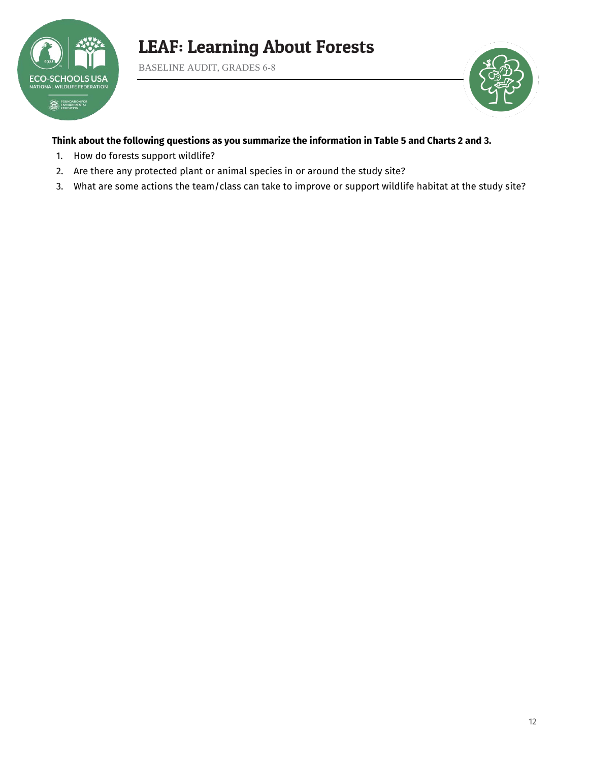

BASELINE AUDIT, GRADES 6-8



### **Think about the following questions as you summarize the information in Table 5 and Charts 2 and 3.**

- 1. How do forests support wildlife?
- 2. Are there any protected plant or animal species in or around the study site?
- 3. What are some actions the team/class can take to improve or support wildlife habitat at the study site?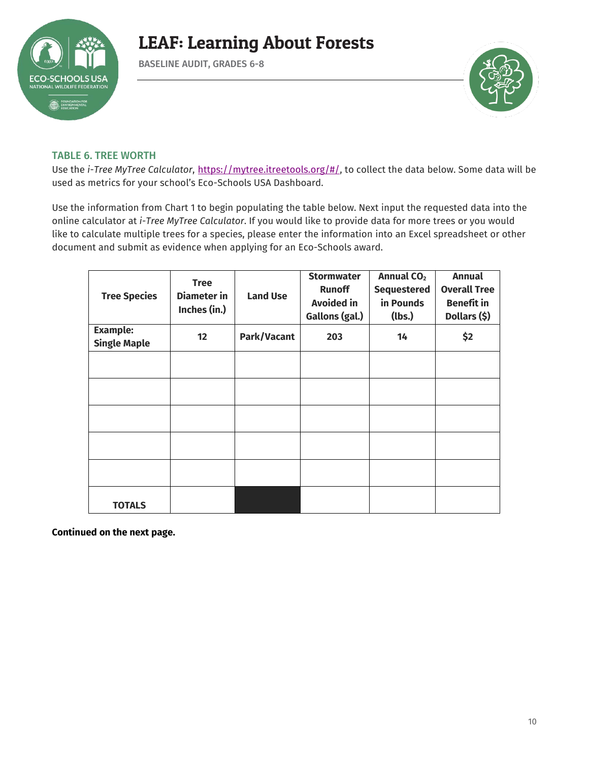

BASELINE AUDIT, GRADES 6-8



### TABLE 6. TREE WORTH

Use the *i-Tree MyTree Calculator*, [https://mytree.itreetools.org/#/,](https://mytree.itreetools.org/#/) to collect the data below. Some data will be used as metrics for your school's Eco-Schools USA Dashboard.

Use the information from Chart 1 to begin populating the table below. Next input the requested data into the online calculator at *i-Tree MyTree Calculator*. If you would like to provide data for more trees or you would like to calculate multiple trees for a species, please enter the information into an Excel spreadsheet or other document and submit as evidence when applying for an Eco-Schools award.

| <b>Tree Species</b>                    | <b>Tree</b><br><b>Diameter</b> in<br>Inches (in.) | <b>Land Use</b> | <b>Stormwater</b><br><b>Runoff</b><br><b>Avoided in</b><br>Gallons (gal.) | Annual CO <sub>2</sub><br><b>Sequestered</b><br>in Pounds<br>(lbs.) | <b>Annual</b><br><b>Overall Tree</b><br><b>Benefit in</b><br>Dollars (\$) |
|----------------------------------------|---------------------------------------------------|-----------------|---------------------------------------------------------------------------|---------------------------------------------------------------------|---------------------------------------------------------------------------|
| <b>Example:</b><br><b>Single Maple</b> | 12                                                | Park/Vacant     | 203                                                                       | 14                                                                  | \$2                                                                       |
|                                        |                                                   |                 |                                                                           |                                                                     |                                                                           |
|                                        |                                                   |                 |                                                                           |                                                                     |                                                                           |
|                                        |                                                   |                 |                                                                           |                                                                     |                                                                           |
|                                        |                                                   |                 |                                                                           |                                                                     |                                                                           |
|                                        |                                                   |                 |                                                                           |                                                                     |                                                                           |
| <b>TOTALS</b>                          |                                                   |                 |                                                                           |                                                                     |                                                                           |